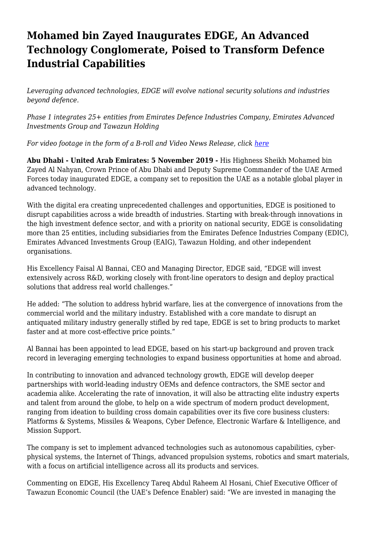## **Mohamed bin Zayed Inaugurates EDGE, An Advanced Technology Conglomerate, Poised to Transform Defence Industrial Capabilities**

*Leveraging advanced technologies, EDGE will evolve national security solutions and industries beyond defence.*

*Phase 1 integrates 25+ entities from Emirates Defence Industries Company, Emirates Advanced Investments Group and Tawazun Holding*

*For video footage in the form of a B-roll and Video News Release, click [here](https://markettierscloud.egnyte.com/fl/J8sXZkMuY9)*

**Abu Dhabi - United Arab Emirates: 5 November 2019 -** His Highness Sheikh Mohamed bin Zayed Al Nahyan, Crown Prince of Abu Dhabi and Deputy Supreme Commander of the UAE Armed Forces today inaugurated EDGE, a company set to reposition the UAE as a notable global player in advanced technology.

With the digital era creating unprecedented challenges and opportunities, EDGE is positioned to disrupt capabilities across a wide breadth of industries. Starting with break-through innovations in the high investment defence sector, and with a priority on national security, EDGE is consolidating more than 25 entities, including subsidiaries from the Emirates Defence Industries Company (EDIC), Emirates Advanced Investments Group (EAIG), Tawazun Holding, and other independent organisations.

His Excellency Faisal Al Bannai, CEO and Managing Director, EDGE said, "EDGE will invest extensively across R&D, working closely with front-line operators to design and deploy practical solutions that address real world challenges."

He added: "The solution to address hybrid warfare, lies at the convergence of innovations from the commercial world and the military industry. Established with a core mandate to disrupt an antiquated military industry generally stifled by red tape, EDGE is set to bring products to market faster and at more cost-effective price points."

Al Bannai has been appointed to lead EDGE, based on his start-up background and proven track record in leveraging emerging technologies to expand business opportunities at home and abroad.

In contributing to innovation and advanced technology growth, EDGE will develop deeper partnerships with world-leading industry OEMs and defence contractors, the SME sector and academia alike. Accelerating the rate of innovation, it will also be attracting elite industry experts and talent from around the globe, to help on a wide spectrum of modern product development, ranging from ideation to building cross domain capabilities over its five core business clusters: Platforms & Systems, Missiles & Weapons, Cyber Defence, Electronic Warfare & Intelligence, and Mission Support.

The company is set to implement advanced technologies such as autonomous capabilities, cyberphysical systems, the Internet of Things, advanced propulsion systems, robotics and smart materials, with a focus on artificial intelligence across all its products and services.

Commenting on EDGE, His Excellency Tareq Abdul Raheem Al Hosani, Chief Executive Officer of Tawazun Economic Council (the UAE's Defence Enabler) said: "We are invested in managing the